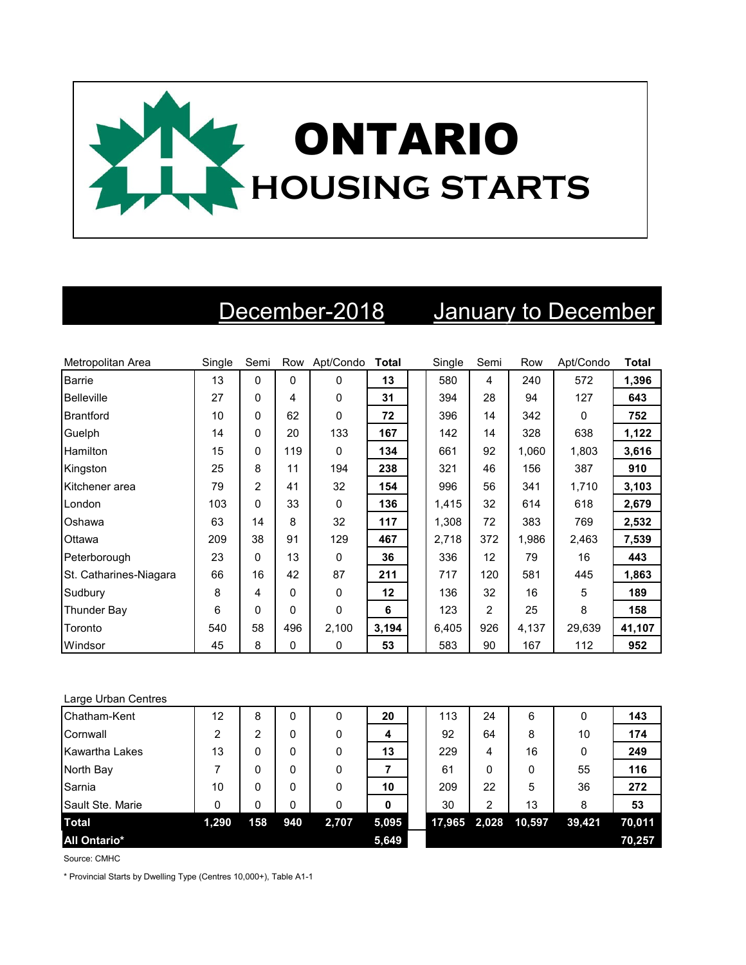

## December-2018 January to December

| Metropolitan Area      | Single | Semi           | Row      | Apt/Condo | <b>Total</b> | Single | Semi           | Row   | Apt/Condo | <b>Total</b> |
|------------------------|--------|----------------|----------|-----------|--------------|--------|----------------|-------|-----------|--------------|
| <b>Barrie</b>          | 13     | 0              | $\Omega$ | 0         | 13           | 580    | 4              | 240   | 572       | 1,396        |
| <b>Belleville</b>      | 27     | $\Omega$       | 4        | 0         | 31           | 394    | 28             | 94    | 127       | 643          |
| Brantford              | 10     | 0              | 62       | 0         | 72           | 396    | 14             | 342   | 0         | 752          |
| Guelph                 | 14     | 0              | 20       | 133       | 167          | 142    | 14             | 328   | 638       | 1,122        |
| Hamilton               | 15     | 0              | 119      | 0         | 134          | 661    | 92             | 1.060 | 1,803     | 3,616        |
| Kingston               | 25     | 8              | 11       | 194       | 238          | 321    | 46             | 156   | 387       | 910          |
| Kitchener area         | 79     | $\overline{c}$ | 41       | 32        | 154          | 996    | 56             | 341   | 1,710     | 3,103        |
| London                 | 103    | 0              | 33       | 0         | 136          | 1,415  | 32             | 614   | 618       | 2,679        |
| Oshawa                 | 63     | 14             | 8        | 32        | 117          | 1,308  | 72             | 383   | 769       | 2,532        |
| Ottawa                 | 209    | 38             | 91       | 129       | 467          | 2,718  | 372            | 1.986 | 2,463     | 7,539        |
| Peterborough           | 23     | $\Omega$       | 13       | $\Omega$  | 36           | 336    | 12             | 79    | 16        | 443          |
| St. Catharines-Niagara | 66     | 16             | 42       | 87        | 211          | 717    | 120            | 581   | 445       | 1,863        |
| Sudbury                | 8      | 4              | $\Omega$ | 0         | 12           | 136    | 32             | 16    | 5         | 189          |
| <b>Thunder Bay</b>     | 6      | $\Omega$       | $\Omega$ | 0         | 6            | 123    | $\overline{2}$ | 25    | 8         | 158          |
| Toronto                | 540    | 58             | 496      | 2,100     | 3,194        | 6,405  | 926            | 4,137 | 29,639    | 41,107       |
| Windsor                | 45     | 8              | $\Omega$ | 0         | 53           | 583    | 90             | 167   | 112       | 952          |

## Large Urban Centres

| Chatham-Kent        | 12    | 8   | 0   | 0     | 20    | 113    | 24    | 6      |        | 143    |
|---------------------|-------|-----|-----|-------|-------|--------|-------|--------|--------|--------|
| Cornwall            | 2     | 2   | 0   | 0     | 4     | 92     | 64    | 8      | 10     | 174    |
| Kawartha Lakes      | 13    | 0   | 0   | 0     | 13    | 229    | 4     | 16     |        | 249    |
| North Bay           |       | 0   | 0   | 0     |       | 61     | 0     | 0      | 55     | 116    |
| Sarnia              | 10    | 0   | 0   | 0     | 10    | 209    | 22    | 5      | 36     | 272    |
| Sault Ste. Marie    | 0     | 0   | 0   | 0     | 0     | 30     | 2     | 13     | 8      | 53     |
| <b>Total</b>        | 1,290 | 158 | 940 | 2,707 | 5,095 | 17,965 | 2,028 | 10,597 | 39,421 | 70.011 |
| <b>All Ontario*</b> |       |     |     |       | 5,649 |        |       |        |        | 70,257 |

Source: CMHC

\* Provincial Starts by Dwelling Type (Centres 10,000+), Table A1-1